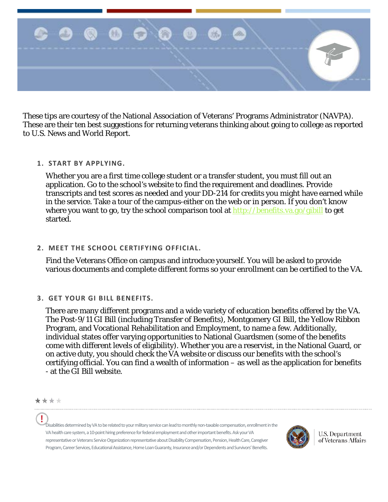

These tips are courtesy of the National Association of Veterans' Programs Administrator (NAVPA). These are their ten best suggestions for returning veterans thinking about going to college as reported to U.S. News and World Report.

## **1. START BY APPLYING.**

Whether you are a first time college student or a transfer student, you must fill out an application. Go to the school's website to find the requirement and deadlines. Provide transcripts and test scores as needed and your DD-214 for credits you might have earned while in the service. Take a tour of the campus-either on the web or in person. If you don't know where you want to go, try the school comparison tool at  $\frac{http://benefits.va.gov/gibil}{http://benefits.va.gov/gibil}$  to get started.

### **2. MEET THE SCHOOL CERTIFYING OFFICIAL.**

Find the Veterans Office on campus and introduce yourself. You will be asked to provide various documents and complete different forms so your enrollment can be certified to the VA.

## **3. GET YOUR GI BILL BENEFITS.**

There are many different programs and a wide variety of education benefits offered by the VA. The Post-9/11 GI Bill (including Transfer of Benefits), Montgomery GI Bill, the Yellow Ribbon Program, and Vocational Rehabilitation and Employment, to name a few. Additionally, individual states offer varying opportunities to National Guardsmen (some of the benefits come with different levels of eligibility). Whether you are a reservist, in the National Guard, or on active duty, you should check the VA website or discuss our benefits with the school's certifying official. You can find a wealth of information – as well as the application for benefits - at the GI Bill website.

Disabilities determined by VA to be related to your military service can lead to monthly non-taxable compensation, enrollment in the VA health care system, a 10-point hiring preference for federal employment and other important benefits. Ask your VA representative or Veterans Service Organization representative about Disability Compensation, Pension, Health Care, Caregiver Program, Career Services, Educational Assistance, Home Loan Guaranty, Insurance and/or Dependents and Survivors' Benefits.



**U.S. Department** of Veterans Affairs

<sup>\*\*\*\*</sup>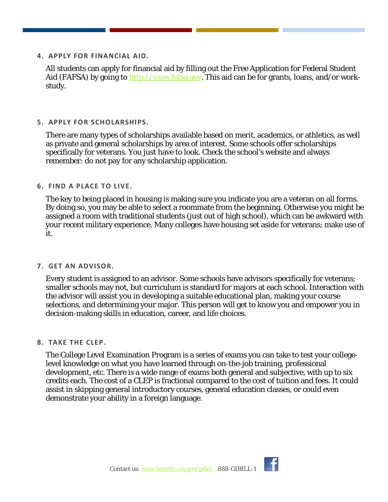**4. APPLY FOR FINANCIAL AID.**

All students can apply for financial aid by filling out the Free Application for Federal Student Aid (FAFSA) by going to [http://www.fafsa.gov.](http://www.fafsa.gov/) This aid can be for grants, loans, and/or workstudy.

**5. APPLY FOR SCHOLARSHIPS.** 

There are many types of scholarships available based on merit, academics, or athletics, as well as private and general scholarships by area of interest. Some schools offer scholarships specifically for veterans. You just have to look. Check the school's website and always remember: do not pay for any scholarship application.

# **6. FIND A PLACE TO LIVE.**

The key to being placed in housing is making sure you indicate you are a veteran on all forms. By doing so, you may be able to select a roommate from the beginning. Otherwise you might be assigned a room with traditional students (just out of high school), which can be awkward with your recent military experience. Many colleges have housing set aside for veterans; make use of it.

## **7. GET AN ADVISOR.**

Every student is assigned to an advisor. Some schools have advisors specifically for veterans; smaller schools may not, but curriculum is standard for majors at each school. Interaction with the advisor will assist you in developing a suitable educational plan, making your course selections, and determining your major. This person will get to know you and empower you in decision-making skills in education, career, and life choices.

## **8. TAKE THE CLEP.**

The College Level Examination Program is a series of exams you can take to test your collegelevel knowledge on what you have learned through on-the-job training, professional development, etc. There is a wide range of exams both general and subjective, with up to six credits each. The cost of a CLEP is fractional compared to the cost of tuition and fees. It could assist in skipping general introductory courses, general education classes, or could even demonstrate your ability in a foreign language.